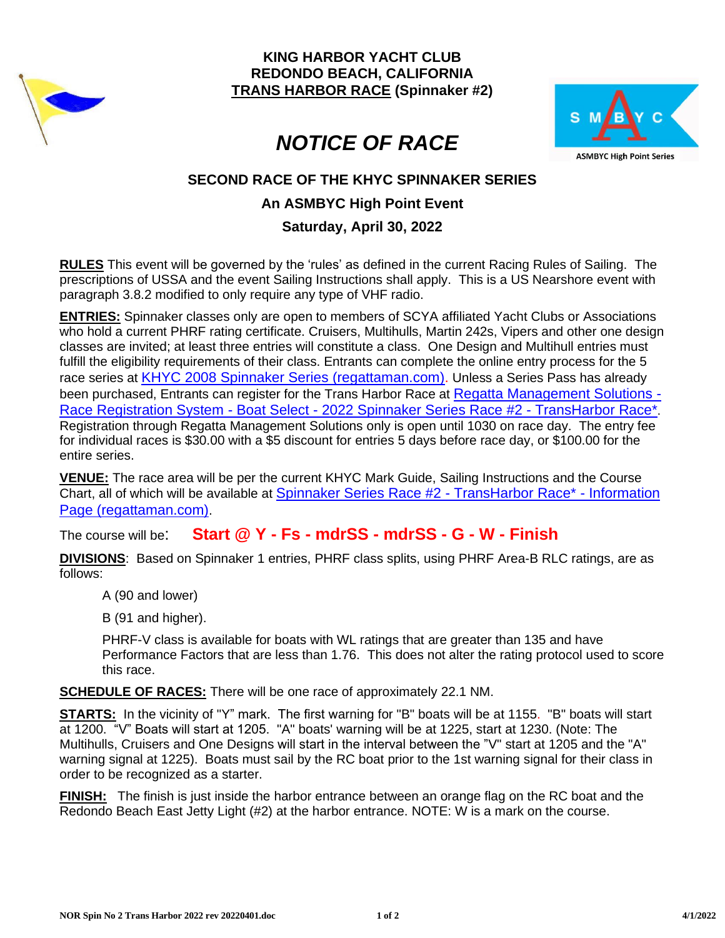

**KING HARBOR YACHT CLUB REDONDO BEACH, CALIFORNIA TRANS HARBOR RACE (Spinnaker #2)**



# *NOTICE OF RACE*

## **SECOND RACE OF THE KHYC SPINNAKER SERIES**

## **An ASMBYC High Point Event**

#### **Saturday, April 30, 2022**

**RULES** This event will be governed by the 'rules' as defined in the current Racing Rules of Sailing. The prescriptions of USSA and the event Sailing Instructions shall apply. This is a US Nearshore event with paragraph 3.8.2 modified to only require any type of VHF radio.

**ENTRIES:** Spinnaker classes only are open to members of SCYA affiliated Yacht Clubs or Associations who hold a current PHRF rating certificate. Cruisers, Multihulls, Martin 242s, Vipers and other one design classes are invited; at least three entries will constitute a class. One Design and Multihull entries must fulfill the eligibility requirements of their class. Entrants can complete the online entry process for the 5 race series at [KHYC 2008 Spinnaker Series \(regattaman.com\).](https://www.regattaman.com/races/949_2022_960.pdf) Unless a Series Pass has already been purchased, Entrants can register for the Trans Harbor Race at [Regatta Management Solutions -](https://www.regattaman.com/bid_multi_select.php?sku=r-962-2022-15122-0-0) Race Registration System - Boat Select - [2022 Spinnaker Series Race #2 -](https://www.regattaman.com/bid_multi_select.php?sku=r-962-2022-15122-0-0) TransHarbor Race\*. Registration through Regatta Management Solutions only is open until 1030 on race day. The entry fee for individual races is \$30.00 with a \$5 discount for entries 5 days before race day, or \$100.00 for the entire series.

**VENUE:** The race area will be per the current KHYC Mark Guide, Sailing Instructions and the Course Chart, all of which will be available at [Spinnaker Series Race #2 -](https://www.regattaman.com/new_event_page.php?race_id=962&yr=2022) TransHarbor Race\* - Information [Page \(regattaman.com\)](https://www.regattaman.com/new_event_page.php?race_id=962&yr=2022).

The course will be: **Start @ Y - Fs - mdrSS - mdrSS - G - W - Finish**

**DIVISIONS**: Based on Spinnaker 1 entries, PHRF class splits, using PHRF Area-B RLC ratings, are as follows:

- A (90 and lower)
- B (91 and higher).

PHRF-V class is available for boats with WL ratings that are greater than 135 and have Performance Factors that are less than 1.76. This does not alter the rating protocol used to score this race.

**SCHEDULE OF RACES:** There will be one race of approximately 22.1 NM.

**STARTS:** In the vicinity of "Y" mark. The first warning for "B" boats will be at 1155. "B" boats will start at 1200. "V" Boats will start at 1205. "A" boats' warning will be at 1225, start at 1230. (Note: The Multihulls, Cruisers and One Designs will start in the interval between the "V" start at 1205 and the "A" warning signal at 1225). Boats must sail by the RC boat prior to the 1st warning signal for their class in order to be recognized as a starter.

**FINISH:** The finish is just inside the harbor entrance between an orange flag on the RC boat and the Redondo Beach East Jetty Light (#2) at the harbor entrance. NOTE: W is a mark on the course.